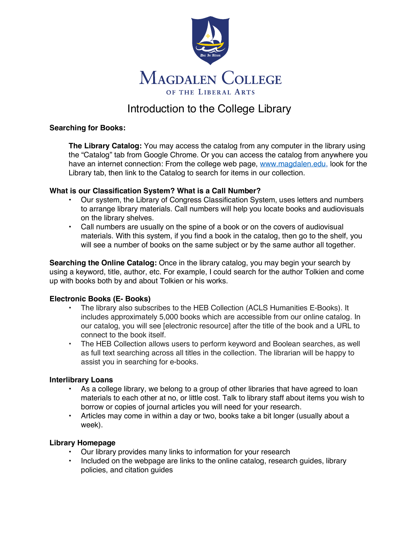

# Introduction to the College Library

### **Searching for Books:**

**The Library Catalog:** You may access the catalog from any computer in the library using the "Catalog" tab from Google Chrome. Or you can access the catalog from anywhere you have an internet connection: From the college web page, www.magdalen.edu, look for the Library tab, then link to the Catalog to search for items in our collection.

### **What is our Classification System? What is a Call Number?**

- Our system, the Library of Congress Classification System, uses letters and numbers to arrange library materials. Call numbers will help you locate books and audiovisuals on the library shelves.
- Call numbers are usually on the spine of a book or on the covers of audiovisual materials. With this system, if you find a book in the catalog, then go to the shelf, you will see a number of books on the same subject or by the same author all together.

**Searching the Online Catalog:** Once in the library catalog, you may begin your search by using a keyword, title, author, etc. For example, I could search for the author Tolkien and come up with books both by and about Tolkien or his works.

### **Electronic Books (E- Books)**

- The library also subscribes to the HEB Collection (ACLS Humanities E-Books). It includes approximately 5,000 books which are accessible from our online catalog. In our catalog, you will see [electronic resource] after the title of the book and a URL to connect to the book itself.
- The HEB Collection allows users to perform keyword and Boolean searches, as well as full text searching across all titles in the collection. The librarian will be happy to assist you in searching for e-books.

### **Interlibrary Loans**

- As a college library, we belong to a group of other libraries that have agreed to loan materials to each other at no, or little cost. Talk to library staff about items you wish to borrow or copies of journal articles you will need for your research.
- Articles may come in within a day or two, books take a bit longer (usually about a week).

### **Library Homepage**

- Our library provides many links to information for your research
- Included on the webpage are links to the online catalog, research guides, library policies, and citation guides